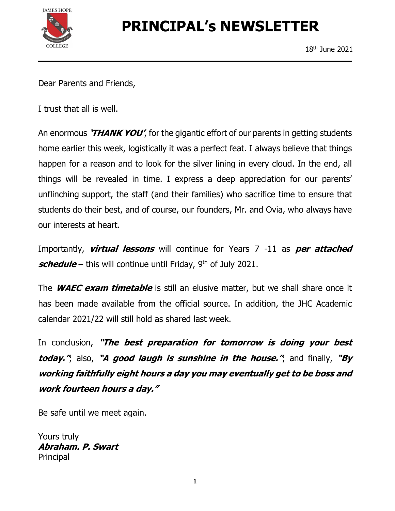

# PRINCIPAL's NEWSLETTER

Dear Parents and Friends,

I trust that all is well.

An enormous 'THANK YOU', for the gigantic effort of our parents in getting students home earlier this week, logistically it was a perfect feat. I always believe that things happen for a reason and to look for the silver lining in every cloud. In the end, all things will be revealed in time. I express a deep appreciation for our parents' unflinching support, the staff (and their families) who sacrifice time to ensure that students do their best, and of course, our founders, Mr. and Ovia, who always have our interests at heart.

Importantly, *virtual lessons* will continue for Years 7 -11 as *per attached* schedule – this will continue until Friday,  $9<sup>th</sup>$  of July 2021.

The *WAEC exam timetable* is still an elusive matter, but we shall share once it has been made available from the official source. In addition, the JHC Academic calendar 2021/22 will still hold as shared last week.

In conclusion, "The best preparation for tomorrow is doing your best today.", also, "A good laugh is sunshine in the house.", and finally, "By working faithfully eight hours a day you may eventually get to be boss and work fourteen hours a day."

Be safe until we meet again.

Yours truly Abraham. P. Swart Principal